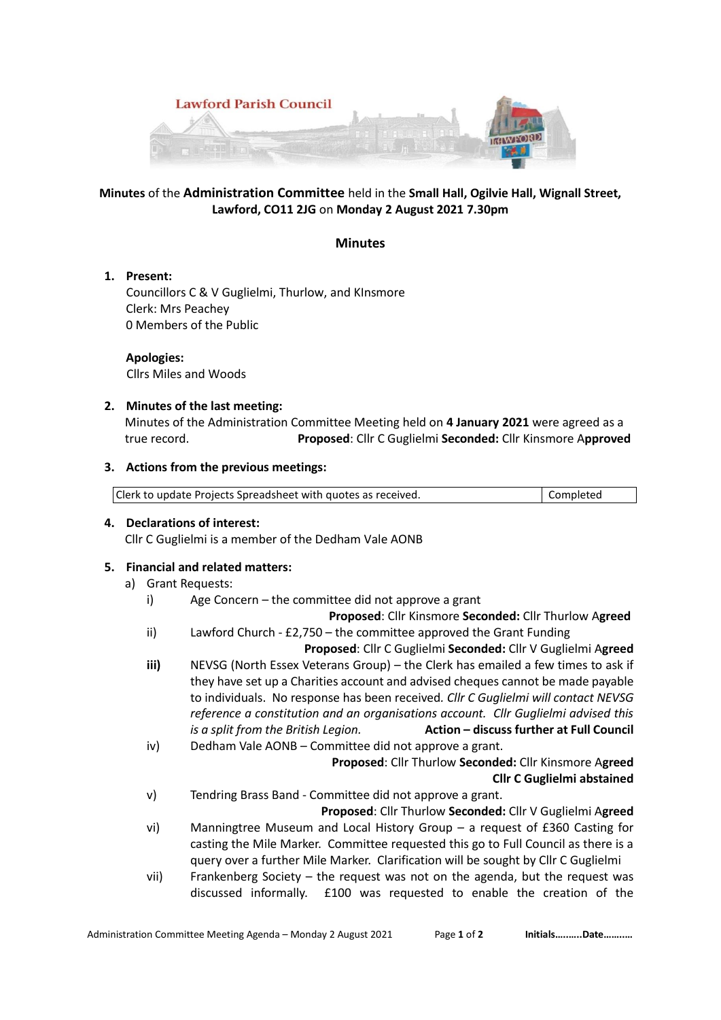

# **Minutes** of the **Administration Committee** held in the **Small Hall, Ogilvie Hall, Wignall Street, Lawford, CO11 2JG** on **Monday 2 August 2021 7.30pm**

### **Minutes**

**1. Present:**

Councillors C & V Guglielmi, Thurlow, and KInsmore Clerk: Mrs Peachey 0 Members of the Public

 **Apologies:** Cllrs Miles and Woods

## **2. Minutes of the last meeting:**

Minutes of the Administration Committee Meeting held on **4 January 2021** were agreed as a true record. **Proposed**: Cllr C Guglielmi **Seconded:** Cllr Kinsmore A**pproved**

## **3. Actions from the previous meetings:**

| Clerk to update Projects Spreadsheet with quotes as received. | Completed |
|---------------------------------------------------------------|-----------|

**4. Declarations of interest:** 

Cllr C Guglielmi is a member of the Dedham Vale AONB

# **5. Financial and related matters:**

- a) Grant Requests:
	- i) Age Concern the committee did not approve a grant

 **Proposed**: Cllr Kinsmore **Seconded:** Cllr Thurlow A**greed**

- ii) Lawford Church £2,750 the committee approved the Grant Funding
- **Proposed**: Cllr C Guglielmi **Seconded:** Cllr V Guglielmi A**greed iii)** NEVSG (North Essex Veterans Group) – the Clerk has emailed a few times to ask if they have set up a Charities account and advised cheques cannot be made payable to individuals. No response has been received*. Cllr C Guglielmi will contact NEVSG reference a constitution and an organisations account. Cllr Guglielmi advised this*
- *is a split from the British Legion.* **Action – discuss further at Full Council** iv) Dedham Vale AONB – Committee did not approve a grant.

**Proposed**: Cllr Thurlow **Seconded:** Cllr Kinsmore A**greed Cllr C Guglielmi abstained**

v) Tendring Brass Band - Committee did not approve a grant.

**Proposed**: Cllr Thurlow **Seconded:** Cllr V Guglielmi A**greed**

- vi) Manningtree Museum and Local History Group a request of £360 Casting for casting the Mile Marker. Committee requested this go to Full Council as there is a query over a further Mile Marker. Clarification will be sought by Cllr C Guglielmi
- vii) Frankenberg Society the request was not on the agenda, but the request was discussed informally. £100 was requested to enable the creation of the